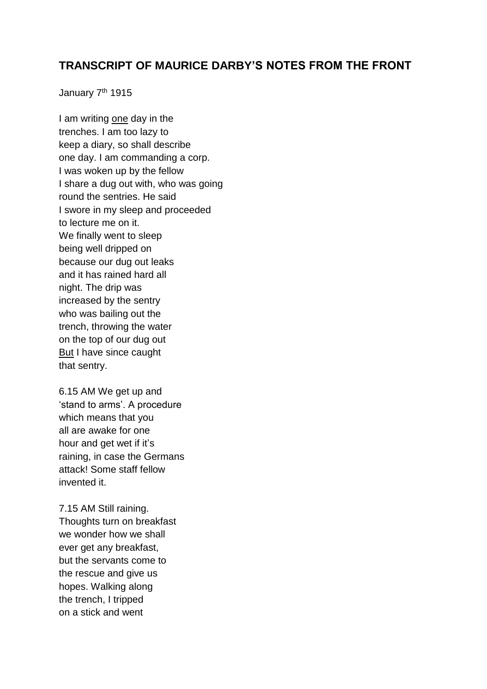## **TRANSCRIPT OF MAURICE DARBY'S NOTES FROM THE FRONT**

January 7<sup>th</sup> 1915

I am writing one day in the trenches. I am too lazy to keep a diary, so shall describe one day. I am commanding a corp. I was woken up by the fellow I share a dug out with, who was going round the sentries. He said I swore in my sleep and proceeded to lecture me on it. We finally went to sleep being well dripped on because our dug out leaks and it has rained hard all night. The drip was increased by the sentry who was bailing out the trench, throwing the water on the top of our dug out But I have since caught that sentry.

6.15 AM We get up and 'stand to arms'. A procedure which means that you all are awake for one hour and get wet if it's raining, in case the Germans attack! Some staff fellow invented it.

7.15 AM Still raining. Thoughts turn on breakfast we wonder how we shall ever get any breakfast, but the servants come to the rescue and give us hopes. Walking along the trench, I tripped on a stick and went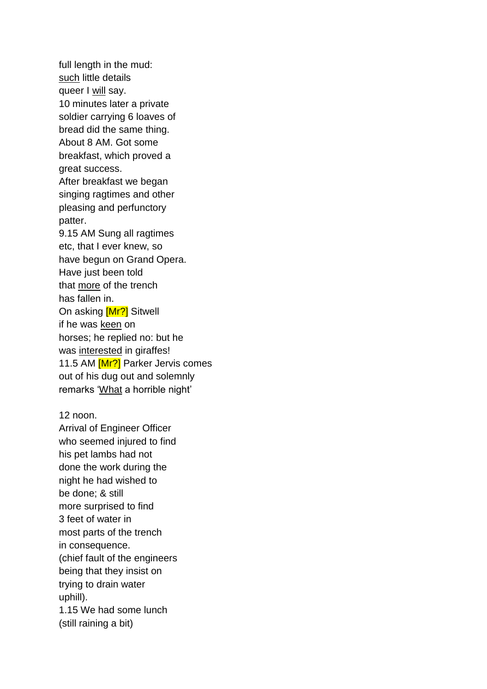full length in the mud: such little details queer I will say. 10 minutes later a private soldier carrying 6 loaves of bread did the same thing. About 8 AM. Got some breakfast, which proved a great success. After breakfast we began singing ragtimes and other pleasing and perfunctory patter. 9.15 AM Sung all ragtimes etc, that I ever knew, so have begun on Grand Opera. Have just been told that more of the trench has fallen in. On asking [Mr?] Sitwell if he was keen on horses; he replied no: but he was interested in giraffes! 11.5 AM [Mr?] Parker Jervis comes out of his dug out and solemnly remarks 'What a horrible night'

12 noon.

Arrival of Engineer Officer who seemed injured to find his pet lambs had not done the work during the night he had wished to be done; & still more surprised to find 3 feet of water in most parts of the trench in consequence. (chief fault of the engineers being that they insist on trying to drain water uphill). 1.15 We had some lunch

(still raining a bit)